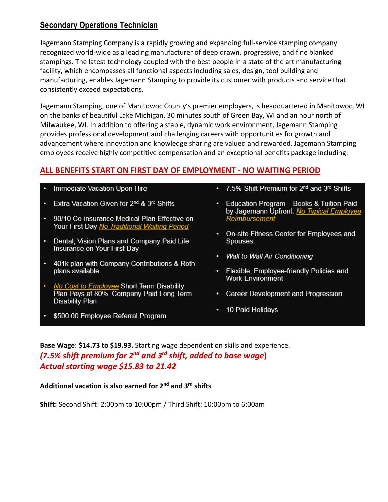## **Secondary Operations Technician**

Jagemann Stamping Company is a rapidly growing and expanding full-service stamping company recognized world-wide as a leading manufacturer of deep drawn, progressive, and fine blanked stampings. The latest technology coupled with the best people in a state of the art manufacturing facility, which encompasses all functional aspects including sales, design, tool building and manufacturing, enables Jagemann Stamping to provide its customer with products and service that consistently exceed expectations.

Jagemann Stamping, one of Manitowoc County's premier employers, is headquartered in Manitowoc, WI on the banks of beautiful Lake Michigan, 30 minutes south of Green Bay, WI and an hour north of Milwaukee, WI. In addition to offering a stable, dynamic work environment, Jagemann Stamping provides professional development and challenging careers with opportunities for growth and advancement where innovation and knowledge sharing are valued and rewarded. Jagemann Stamping employees receive highly competitive compensation and an exceptional benefits package including:

## **ALL BENEFITS START ON FIRST DAY OF EMPLOYMENT - NO WAITING PERIOD**

- Immediate Vacation Upon Hire
- Extra Vacation Given for 2<sup>nd</sup> & 3<sup>rd</sup> Shifts
- 90/10 Co-insurance Medical Plan Effective on Your First Day No Traditional Waiting Period
- Dental, Vision Plans and Company Paid Life Insurance on Your First Day
- 401k plan with Company Contributions & Roth plans available
- No Cost to Employee Short Term Disability Plan Pays at 80%. Company Paid Long Term **Disability Plan**
- \$500.00 Employee Referral Program
- 7.5% Shift Premium for 2<sup>nd</sup> and 3<sup>rd</sup> Shifts
- Education Program Books & Tuition Paid by Jagemann Upfront. No Typical Employee Reimbursement
- On-site Fitness Center for Employees and **Spouses**
- Wall to Wall Air Conditioning
- Flexible, Employee-friendly Policies and **Work Environment**
- Career Development and Progression
- 10 Paid Holidays

**Base Wage**: **\$14.73 to \$19.93.** Starting wage dependent on skills and experience. *(7.5% shift premium for 2nd and 3rd shift, added to base wage***)** *Actual starting wage \$15.83 to 21.42*

**Additional vacation is also earned for 2nd and 3rd shifts**

**Shift:** Second Shift: 2:00pm to 10:00pm / Third Shift: 10:00pm to 6:00am